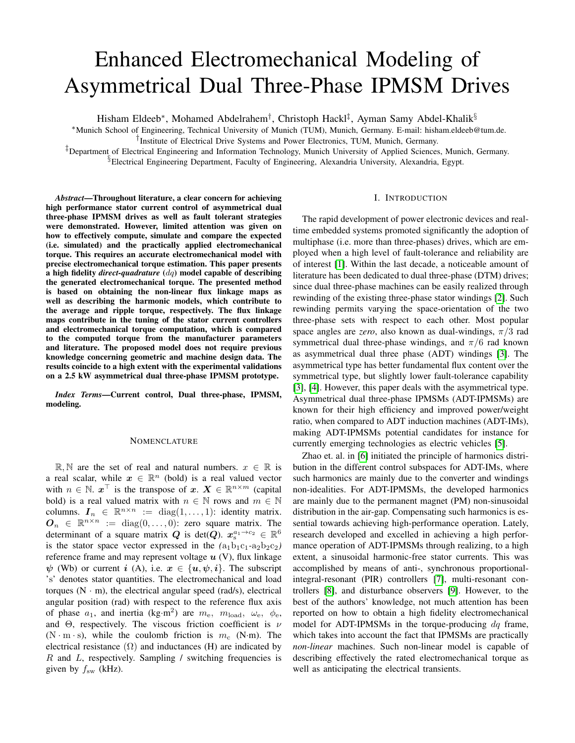# Enhanced Electromechanical Modeling of Asymmetrical Dual Three-Phase IPMSM Drives

Hisham Eldeeb<sup>∗</sup>, Mohamed Abdelrahem<sup>†</sup>, Christoph Hackl<sup>‡</sup>, Ayman Samy Abdel-Khalik<sup>§</sup>

<sup>∗</sup>Munich School of Engineering, Technical University of Munich (TUM), Munich, Germany. E-mail: hisham.eldeeb@tum.de.

† Institute of Electrical Drive Systems and Power Electronics, TUM, Munich, Germany.

‡Department of Electrical Engineering and Information Technology, Munich University of Applied Sciences, Munich, Germany. §Electrical Engineering Department, Faculty of Engineering, Alexandria University, Alexandria, Egypt.

*Abstract*—Throughout literature, a clear concern for achieving high performance stator current control of asymmetrical dual three-phase IPMSM drives as well as fault tolerant strategies were demonstrated. However, limited attention was given on how to effectively compute, simulate and compare the expected (i.e. simulated) and the practically applied electromechanical torque. This requires an accurate electromechanical model with precise electromechanical torque estimation. This paper presents a high fidelity *direct-quadrature* (dq) model capable of describing the generated electromechanical torque. The presented method is based on obtaining the non-linear flux linkage maps as well as describing the harmonic models, which contribute to the average and ripple torque, respectively. The flux linkage maps contribute in the tuning of the stator current controllers and electromechanical torque computation, which is compared to the computed torque from the manufacturer parameters and literature. The proposed model does not require previous knowledge concerning geometric and machine design data. The results coincide to a high extent with the experimental validations on a 2.5 kW asymmetrical dual three-phase IPMSM prototype.

*Index Terms*—Current control, Dual three-phase, IPMSM, modeling.

## **NOMENCLATURE**

R, N are the set of real and natural numbers.  $x \in \mathbb{R}$  is a real scalar, while  $x \in \mathbb{R}^n$  (bold) is a real valued vector with  $n \in \mathbb{N}$ .  $x^{\top}$  is the transpose of  $x$ .  $X \in \mathbb{R}^{n \times m}$  (capital bold) is a real valued matrix with  $n \in \mathbb{N}$  rows and  $m \in \mathbb{N}$ columns.  $\mathbf{I}_n \in \mathbb{R}^{n \times n} := \text{diag}(1, \dots, 1)$ : identity matrix.  $\mathbf{O}_n \in \mathbb{R}^{n \times n} := \text{diag}(0, \dots, 0)$ : zero square matrix. The determinant of a square matrix  $Q$  is det $(Q)$ .  $x_{\rm s}^{a_1 \rightarrow c_2} \in \mathbb{R}^6$ is the stator space vector expressed in the  $(a_1b_1c_1-a_2b_2c_2)$ reference frame and may represent voltage  $u$  (V), flux linkage  $\psi$  (Wb) or current i (A), i.e.  $x \in \{u, \psi, i\}$ . The subscript 's' denotes stator quantities. The electromechanical and load torques  $(N \cdot m)$ , the electrical angular speed (rad/s), electrical angular position (rad) with respect to the reference flux axis of phase  $a_1$ , and inertia (kg·m<sup>2</sup>) are  $m_e$ ,  $m_{load}$ ,  $\omega_e$ ,  $\phi_e$ , and  $\Theta$ , respectively. The viscous friction coefficient is  $\nu$  $(N \cdot m \cdot s)$ , while the coulomb friction is  $m_c$  (N·m). The electrical resistance  $(\Omega)$  and inductances (H) are indicated by  $R$  and  $L$ , respectively. Sampling / switching frequencies is given by  $f_{sw}$  (kHz).

## I. INTRODUCTION

The rapid development of power electronic devices and realtime embedded systems promoted significantly the adoption of multiphase (i.e. more than three-phases) drives, which are employed when a high level of fault-tolerance and reliability are of interest [1]. Within the last decade, a noticeable amount of literature has been dedicated to dual three-phase (DTM) drives; since dual three-phase machines can be easily realized through rewinding of the existing three-phase stator windings [2]. Such rewinding permits varying the space-orientation of the two three-phase sets with respect to each other. Most popular space angles are *zero*, also known as dual-windings,  $\pi/3$  rad symmetrical dual three-phase windings, and  $\pi/6$  rad known as asymmetrical dual three phase (ADT) windings [3]. The asymmetrical type has better fundamental flux content over the symmetrical type, but slightly lower fault-tolerance capability [3], [4]. However, this paper deals with the asymmetrical type. Asymmetrical dual three-phase IPMSMs (ADT-IPMSMs) are known for their high efficiency and improved power/weight ratio, when compared to ADT induction machines (ADT-IMs), making ADT-IPMSMs potential candidates for instance for currently emerging technologies as electric vehicles [5].

Zhao et. al. in [6] initiated the principle of harmonics distribution in the different control subspaces for ADT-IMs, where such harmonics are mainly due to the converter and windings non-idealities. For ADT-IPMSMs, the developed harmonics are mainly due to the permanent magnet (PM) non-sinusoidal distribution in the air-gap. Compensating such harmonics is essential towards achieving high-performance operation. Lately, research developed and excelled in achieving a high performance operation of ADT-IPMSMs through realizing, to a high extent, a sinusoidal harmonic-free stator currents. This was accomplished by means of anti-, synchronous proportionalintegral-resonant (PIR) controllers [7], multi-resonant controllers [8], and disturbance observers [9]. However, to the best of the authors' knowledge, not much attention has been reported on how to obtain a high fidelity electromechanical model for ADT-IPMSMs in the torque-producing  $dq$  frame, which takes into account the fact that IPMSMs are practically *non-linear* machines. Such non-linear model is capable of describing effectively the rated electromechanical torque as well as anticipating the electrical transients.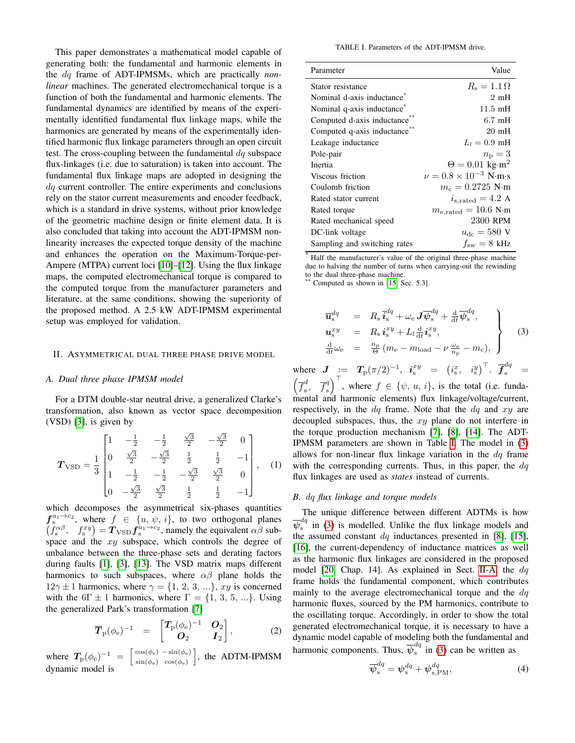This paper demonstrates a mathematical model capable of generating both: the fundamental and harmonic elements in the dq frame of ADT-IPMSMs, which are practically *nonlinear* machines. The generated electromechanical torque is a function of both the fundamental and harmonic elements. The fundamental dynamics are identified by means of the experimentally identified fundamental flux linkage maps, while the harmonics are generated by means of the experimentally identified harmonic flux linkage parameters through an open circuit test. The cross-coupling between the fundamental  $dq$  subspace flux-linkages (i.e. due to saturation) is taken into account. The fundamental flux linkage maps are adopted in designing the dq current controller. The entire experiments and conclusions rely on the stator current measurements and encoder feedback, which is a standard in drive systems, without prior knowledge of the geometric machine design or finite element data. It is also concluded that taking into account the ADT-IPMSM nonlinearity increases the expected torque density of the machine and enhances the operation on the Maximum-Torque-per-Ampere (MTPA) current loci [10]–[12]. Using the flux linkage maps, the computed electromechanical torque is compared to the computed torque from the manufacturer parameters and literature, at the same conditions, showing the superiority of the proposed method. A 2.5 kW ADT-IPMSM experimental setup was employed for validation.

## II. ASYMMETRICAL DUAL THREE PHASE DRIVE MODEL

## *A. Dual three phase IPMSM model*

For a DTM double-star neutral drive, a generalized Clarke's transformation, also known as vector space decomposition (VSD) [3], is given by

$$
T_{\text{VSD}} = \frac{1}{3} \begin{bmatrix} 1 & -\frac{1}{2} & -\frac{1}{2} & \frac{\sqrt{3}}{2} & -\frac{\sqrt{3}}{2} & 0 \\ 0 & \frac{\sqrt{3}}{2} & -\frac{\sqrt{3}}{2} & \frac{1}{2} & \frac{1}{2} & -1 \\ 1 & -\frac{1}{2} & -\frac{1}{2} & -\frac{\sqrt{3}}{2} & \frac{\sqrt{3}}{2} & 0 \\ 0 & -\frac{\sqrt{3}}{2} & \frac{\sqrt{3}}{2} & \frac{1}{2} & \frac{1}{2} & -1 \end{bmatrix}, \quad (1)
$$

which decomposes the asymmetrical six-phases quantities  $f_s^{a_1\rightarrow c_2}$ , where  $f \in \{u, \psi, i\}$ , to two orthogonal planes  $(f_s^{\alpha\beta}, f_s^{xy}) = T_{\text{VSD}} f_s^{\alpha_1 \rightarrow c_2}$ , namely the equivalent  $\alpha\beta$  subspace and the  $xy$  subspace, which controls the degree of unbalance between the three-phase sets and derating factors during faults [1], [3], [13]. The VSD matrix maps different harmonics to such subspaces, where  $\alpha\beta$  plane holds the  $12\gamma \pm 1$  harmonics, where  $\gamma = \{1, 2, 3, ...\}$ , xy is concerned with the 6Γ  $\pm$  1 harmonics, where Γ = {1, 3, 5, ...}. Using the generalized Park's transformation [7]

$$
\overline{\boldsymbol{T}}_{\rm p}(\phi_{\rm e})^{-1} = \begin{bmatrix} \boldsymbol{T}_{\rm p}(\phi_{\rm e})^{-1} & \boldsymbol{O}_{2} \\ \boldsymbol{O}_{2} & \boldsymbol{I}_{2} \end{bmatrix}, \tag{2}
$$

where  $T_{\rm p}(\phi_{\rm e})^{-1} = \begin{bmatrix} \cos(\phi_{\rm e}) - \sin(\phi_{\rm e}) \\ \sin(\phi_{\rm e}) - \cos(\phi_{\rm e}) \end{bmatrix}$  $\sin(\phi_e) \cos(\phi_e)$ , the ADTM-IPMSM dynamic model is

TABLE I. Parameters of the ADT-IPMSM drive.

| Parameter                    | Value                                              |
|------------------------------|----------------------------------------------------|
| Stator resistance            | $R_s = 1.1 \Omega$                                 |
| Nominal d-axis inductance    | 2mH                                                |
| Nominal q-axis inductance    | $11.5 \text{ mH}$                                  |
| Computed d-axis inductance   | $6.7 \text{ mH}$                                   |
| Computed q-axis inductance   | $20 \text{ mH}$                                    |
| Leakage inductance           | $L_l = 0.9 \text{ mH}$                             |
| Pole-pair                    | $n_{\rm p}=3$                                      |
| Inertia                      | $\Theta = 0.01 \text{ kg} \cdot \text{m}^2$        |
| Viscous friction             | $\nu = 0.8 \times 10^{-3}$ N·m·s                   |
| Coulomb friction             | $m_c = 0.2725$ N·m                                 |
| Rated stator current         | $i_{\rm s, rated} = 4.2$ A                         |
| Rated torque                 | $m_{\rm e, rated} = 10.6 \text{ N} \cdot \text{m}$ |
| Rated mechanical speed       | 2300 RPM                                           |
| DC-link voltage              | $u_{\rm dc} = 580$ V                               |
| Sampling and switching rates | $f_{\rm sw} = 8 \text{ kHz}$                       |

Half the manufacturer's value of the original three-phase machine due to halving the number of turns when carrying-out the rewinding to the dual three-phase machine.

Computed as shown in  $[15, Sec. 5.3]$ .

$$
\overline{u}_{\rm s}^{dq} = R_{\rm s} \overline{i}_{\rm s}^{dq} + \omega_{\rm e} J \overline{\psi}_{\rm s}^{dq} + \frac{d}{dt} \overline{\psi}_{\rm s}^{dq},
$$
\n
$$
u_{\rm s}^{xy} = R_{\rm s} i_{\rm s}^{xy} + L_l \frac{d}{dt} i_{\rm s}^{xy},
$$
\n
$$
\frac{d}{dt} \omega_{\rm e} = \frac{n_{\rm p}}{\Theta} (m_{\rm e} - m_{\rm load} - \nu \frac{\omega_{\rm e}}{n_{\rm p}} - m_{\rm c}),
$$
\n(3)

where  $\bm{J}$   $:=$   $\bm{T}_{\rm p}(\pi/2)^{-1},$   $\bm{i}^{xy}_{\rm s}$   $=$   $\left(i^{x}_{\rm s},$   $i^{y}_{\rm s}\right)^{\top}$ .  $\overline{\bm{f}}^{dq}_{\rm s}$   $=$  $\left(\overline{f}_{s}^{d}\right)$  $\frac{d}{s}$ ,  $\overline{f}_s^q$  $\left( \begin{array}{c} q \\ s \end{array} \right)^{\top}$ , where  $f \in \{\psi, u, i\}$ , is the total (i.e. fundamental and harmonic elements) flux linkage/voltage/current, respectively, in the  $dq$  frame. Note that the  $dq$  and  $xy$  are decoupled subspaces, thus, the  $xy$  plane do not interfere in the torque production mechanism [7], [8], [14]. The ADT-IPMSM parameters are shown in Table I. The model in (3) allows for non-linear flux linkage variation in the  $dq$  frame with the corresponding currents. Thus, in this paper, the  $dq$ flux linkages are used as *states* instead of currents.

#### *B.* dq *flux linkage and torque models*

The unique difference between different ADTMs is how  $\overline{\psi}^{dq}_{\rm s}$  $\int_{s}^{u}$  in (3) is modelled. Unlike the flux linkage models and the assumed constant  $dq$  inductances presented in [8], [15], [16], the current-dependency of inductance matrices as well as the harmonic flux linkages are considered in the proposed model [20, Chap. 14]. As explained in Sect. II-A, the  $dq$ frame holds the fundamental component, which contributes mainly to the average electromechanical torque and the  $dq$ harmonic fluxes, sourced by the PM harmonics, contribute to the oscillating torque. Accordingly, in order to show the total generated electromechanical torque, it is necessary to have a dynamic model capable of modeling both the fundamental and harmonic components. Thus,  $\overline{\psi}_{s}^{dq}$  $\int_{s}^{u}$  in (3) can be written as

$$
\overline{\psi}_{\rm s}^{dq} = \psi_{\rm s}^{dq} + \psi_{\rm s,PM}^{dq},\tag{4}
$$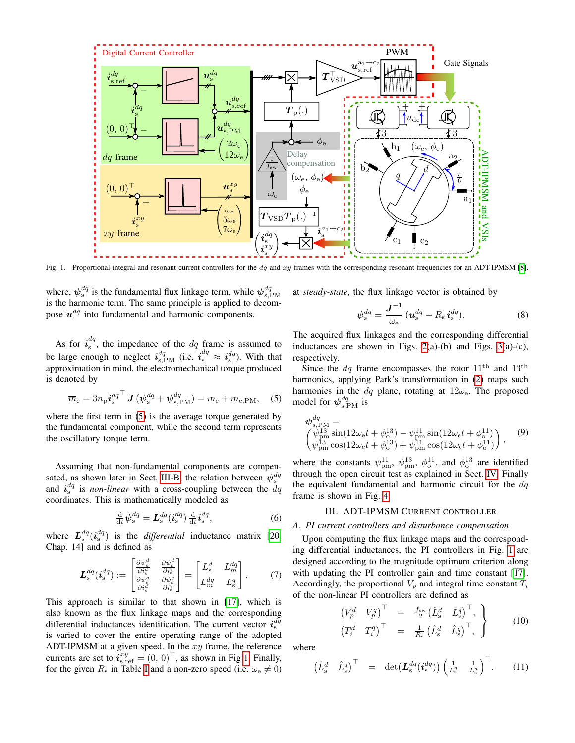

Fig. 1. Proportional-integral and resonant current controllers for the  $dq$  and  $xy$  frames with the corresponding resonant frequencies for an ADT-IPMSM [8].

where,  $\psi_{s}^{dq}$  is the fundamental flux linkage term, while  $\psi_{s,PM}^{dq}$ is the harmonic term. The same principle is applied to decompose  $\overline{\mathbf{u}}_s^{dq}$  into fundamental and harmonic components.

As for  $\vec{i}_{\rm s}^{dq}$  $s<sup>u<sub>q</sub></sup>$ , the impedance of the  $dq$  frame is assumed to be large enough to neglect  $i_{s,PM}^{dq}$  (i.e.  $\bar{i}_s^{dq} \approx i_s^{dq}$ ). With that approximation in mind, the electromechanical torque produced is denoted by

$$
\overline{m}_{\mathrm{e}} = 3n_{\mathrm{p}}\mathbf{i}_{\mathrm{s}}^{dq^{\top}}\mathbf{J}\left(\psi_{\mathrm{s}}^{dq} + \psi_{\mathrm{s,PM}}^{dq}\right) = m_{\mathrm{e}} + m_{\mathrm{e,PM}},\quad(5)
$$

where the first term in  $(5)$  is the average torque generated by the fundamental component, while the second term represents the oscillatory torque term.

Assuming that non-fundamental components are compensated, as shown later in Sect. III-B, the relation between  $\psi_{s}^{dq}$ and  $i_s^{dq}$  is *non-linear* with a cross-coupling between the  $dq$ coordinates. This is mathematically modeled as

$$
\frac{\mathrm{d}}{\mathrm{d}t}\psi_{\mathrm{s}}^{dq} = L_{\mathrm{s}}^{dq}(i_{\mathrm{s}}^{dq}) \frac{\mathrm{d}}{\mathrm{d}t}i_{\mathrm{s}}^{dq},\tag{6}
$$

where  $L_s^{dq}$  ( $i_s^{dq}$ ) is the *differential* inductance matrix [20, Chap. 14] and is defined as

$$
\boldsymbol{L}_{\rm s}^{dq}(\boldsymbol{i}_{\rm s}^{dq}) := \begin{bmatrix} \frac{\partial \psi_{\rm s}^d}{\partial i_{\rm s}^d} & \frac{\partial \psi_{\rm s}^d}{\partial i_{\rm s}^d} \\ \frac{\partial \psi_{\rm s}^q}{\partial i_{\rm s}^d} & \frac{\partial \psi_{\rm s}^q}{\partial i_{\rm s}^d} \end{bmatrix} = \begin{bmatrix} L_{\rm s}^d & L_m^{dq} \\ L_m^{dq} & L_{\rm s}^q \end{bmatrix} . \tag{7}
$$

This approach is similar to that shown in [17], which is also known as the flux linkage maps and the corresponding differential inductances identification. The current vector  $i_s^{d\bar{q}}$ is varied to cover the entire operating range of the adopted ADT-IPMSM at a given speed. In the  $xy$  frame, the reference currents are set to  $\vec{i}_{s,\text{ref}}^{\text{xy}} = (0, 0)^\top$ , as shown in Fig 1. Finally, for the given  $R_s$  in Table I and a non-zero speed (i.e.  $\omega_e \neq 0$ ) at *steady-state*, the flux linkage vector is obtained by

$$
\psi_{\mathrm{s}}^{dq} = \frac{\boldsymbol{J}^{-1}}{\omega_{\mathrm{e}}} \left( \boldsymbol{u}_{\mathrm{s}}^{dq} - R_{\mathrm{s}} \, \boldsymbol{i}_{\mathrm{s}}^{dq} \right). \tag{8}
$$

The acquired flux linkages and the corresponding differential inductances are shown in Figs.  $2(a)-(b)$  and Figs.  $3(a)-(c)$ , respectively.

Since the  $dq$  frame encompasses the rotor  $11<sup>th</sup>$  and  $13<sup>th</sup>$ harmonics, applying Park's transformation in (2) maps such harmonics in the dq plane, rotating at  $12\omega_e$ . The proposed model for  $\psi_{\text{s,PM}}^{dq}$  is

$$
\begin{array}{l}\n\psi_{\rm s,PM}^{dq} = \\
\begin{pmatrix}\n\psi_{\rm p}^{13} \sin(12\omega_{\rm e}t + \phi_{\rm o}^{13}) - \psi_{\rm pm}^{11} \sin(12\omega_{\rm e}t + \phi_{\rm o}^{11}) \\
\psi_{\rm pm}^{13} \cos(12\omega_{\rm e}t + \phi_{\rm o}^{13}) + \psi_{\rm pm}^{11} \cos(12\omega_{\rm e}t + \phi_{\rm o}^{11})\n\end{pmatrix},\n\end{array} (9)
$$

where the constants  $\psi_{pm}^{11}$ ,  $\psi_{pm}^{13}$ ,  $\phi_{0}^{11}$ , and  $\phi_{0}^{13}$  are identified through the open circuit test as explained in Sect. IV. Finally the equivalent fundamental and harmonic circuit for the  $dq$ frame is shown in Fig. 4.

# III. ADT-IPMSM CURRENT CONTROLLER

*A. PI current controllers and disturbance compensation*

Upon computing the flux linkage maps and the corresponding differential inductances, the PI controllers in Fig. 1 are designed according to the magnitude optimum criterion along with updating the PI controller gain and time constant [17]. Accordingly, the proportional  $V_p$  and integral time constant  $T_i$ of the non-linear PI controllers are defined as

$$
\begin{array}{rcl}\n\left(V_p^d & V_p^q\right)^\top & = & \frac{f_{\rm sw}}{2} \left(\hat{L}_{\rm s}^d & \hat{L}_{\rm s}^q\right)^\top, \\
\left(T_i^d & T_i^q\right)^\top & = & \frac{1}{R_{\rm s}} \left(\hat{L}_{\rm s}^d & \hat{L}_{\rm s}^q\right)^\top, \\
\end{array}\n\bigg\} \tag{10}
$$

where

$$
\begin{pmatrix} \hat{L}_s^d & \hat{L}_s^q \end{pmatrix}^\top = \det \left( \mathbf{L}_s^{dq} (\mathbf{i}_s^{dq}) \right) \begin{pmatrix} \frac{1}{L_s^q} & \frac{1}{L_s^d} \end{pmatrix}^\top. \tag{11}
$$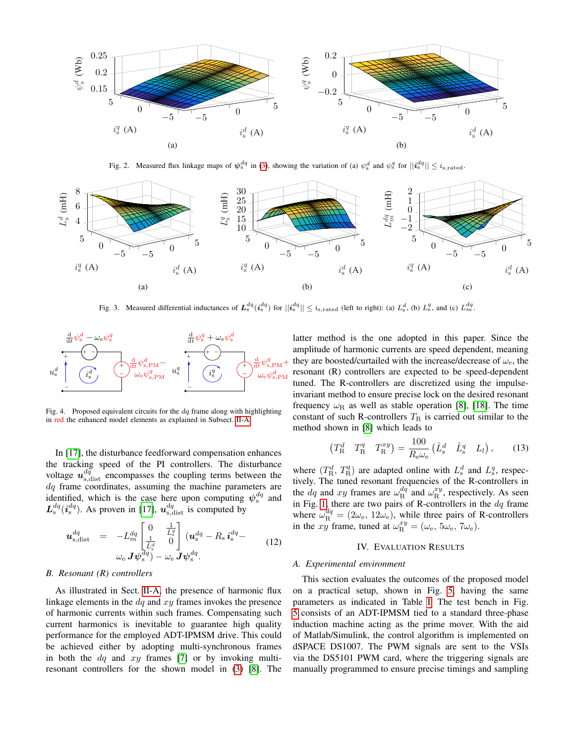

Fig. 2. Measured flux linkage maps of  $\psi_s^{dq}$  in (3), showing the variation of (a)  $\psi_s^d$  and  $\psi_s^q$  for  $||\mathbf{i}_s^{dq}|| \le i_{s,\text{rated}}$ .



Fig. 3. Measured differential inductances of  $L_s^{dq}(i_s^{dq})$  for  $||i_s^{dq}|| \le i_{s,\text{rated}}$  (left to right): (a)  $L_s^d$ , (b)  $L_s^q$ , and (c)  $L_m^{dq}$ .



Fig. 4. Proposed equivalent circuits for the  $dq$  frame along with highlighting in red the enhanced model elements as explained in Subsect. II-A.

In [17], the disturbance feedforward compensation enhances the tracking speed of the PI controllers. The disturbance voltage  $u_{s,\text{dist}}^{d\bar{q}}$  encompasses the coupling terms between the  $dq$  frame coordinates, assuming the machine parameters are identified, which is the case here upon computing  $\psi_s^{dq}$  and  $L_s^{dq}$  ( $i_s^{dq}$ ). As proven in [17],  $u_{s,\text{dist}}^{dq}$  is computed by

$$
\mathbf{u}_{s,\text{dist}}^{dq} = -L_m^{dq} \begin{bmatrix} 0 & \frac{1}{\tilde{L}_s^q} \\ \frac{1}{\tilde{L}_s^d} & 0 \end{bmatrix} (\mathbf{u}_s^{dq} - R_s \mathbf{i}_s^{dq} -
$$
  

$$
\omega_e \mathbf{J} \psi_s^{dq}) - \omega_e \mathbf{J} \psi_s^{dq}.
$$
 (12)

## *B. Resonant (R) controllers*

As illustrated in Sect. II-A, the presence of harmonic flux linkage elements in the  $dq$  and  $xy$  frames invokes the presence of harmonic currents within such frames. Compensating such current harmonics is inevitable to guarantee high quality performance for the employed ADT-IPMSM drive. This could be achieved either by adopting multi-synchronous frames in both the  $dq$  and  $xy$  frames [7] or by invoking multiresonant controllers for the shown model in (3) [8]. The latter method is the one adopted in this paper. Since the amplitude of harmonic currents are speed dependent, meaning they are boosted/curtailed with the increase/decrease of  $\omega_e$ , the resonant (R) controllers are expected to be speed-dependent tuned. The R-controllers are discretized using the impulseinvariant method to ensure precise lock on the desired resonant frequency  $\omega_R$  as well as stable operation [8], [18]. The time constant of such R-controllers  $T_R$  is carried out similar to the method shown in [8] which leads to

$$
\begin{pmatrix} T_{\rm R}^d & T_{\rm R}^q & T_{\rm R}^{xy} \end{pmatrix} = \frac{100}{R_{\rm s}\omega_{\rm e}} \begin{pmatrix} \hat{L}_{\rm s}^d & \hat{L}_{\rm s}^q & L_l \end{pmatrix}, \qquad (13)
$$

where  $(T_R^d, T_R^q)$  are adapted online with  $L_s^d$  and  $L_s^q$ , respectively. The tuned resonant frequencies of the R-controllers in the  $dq$  and  $xy$  frames are  $\omega_{\rm R}^{dq}$  and  $\omega_{\rm R}^{xy}$ , respectively. As seen in Fig. 1, there are two pairs of R-controllers in the  $dq$  frame where  $\omega_{\rm R}^{dq} = (2\omega_{\rm e}, 12\omega_{\rm e})$ , while three pairs of R-controllers in the xy frame, tuned at  $\omega_{\rm R}^{xy} = (\omega_{\rm e}, 5\omega_{\rm e}, 7\omega_{\rm e}).$ 

# IV. EVALUATION RESULTS

#### *A. Experimental environment*

This section evaluates the outcomes of the proposed model on a practical setup, shown in Fig. 5, having the same parameters as indicated in Table I. The test bench in Fig. 5 consists of an ADT-IPMSM tied to a standard three-phase induction machine acting as the prime mover. With the aid of Matlab/Simulink, the control algorithm is implemented on dSPACE DS1007. The PWM signals are sent to the VSIs via the DS5101 PWM card, where the triggering signals are manually programmed to ensure precise timings and sampling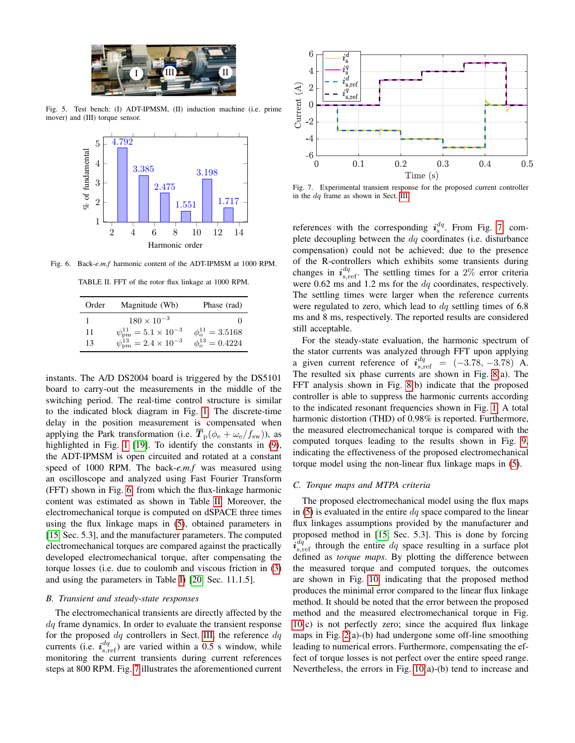

Fig. 5. Test bench: (I) ADT-IPMSM, (II) induction machine (i.e. prime mover) and (III) torque sensor.



Fig. 6. Back-*e.m.f* harmonic content of the ADT-IPMSM at 1000 RPM.

TABLE II. FFT of the rotor flux linkage at 1000 RPM.

| Order | Magnitude (Wb)                            | Phase (rad)                  |
|-------|-------------------------------------------|------------------------------|
|       | $180 \times 10^{-3}$                      |                              |
| 11    | $\psi_{\rm pm}^{11} = 5.1 \times 10^{-3}$ | $\phi_{0}^{11} = 3.5168$     |
| 13    | $\psi_{\rm pm}^{13} = 2.4 \times 10^{-3}$ | $\phi_{\rm o}^{13} = 0.4224$ |

instants. The A/D DS2004 board is triggered by the DS5101 board to carry-out the measurements in the middle of the switching period. The real-time control structure is similar to the indicated block diagram in Fig. 1. The discrete-time delay in the position measurement is compensated when applying the Park transformation (i.e.  $\overline{T}_{\rm p}(\phi_{\rm e} + \omega_{\rm e}/f_{\rm sw})$ ), as highlighted in Fig. 1 [19]. To identify the constants in (9), the ADT-IPMSM is open circuited and rotated at a constant speed of 1000 RPM. The back-*e.m.f* was measured using an oscilloscope and analyzed using Fast Fourier Transform (FFT) shown in Fig. 6, from which the flux-linkage harmonic content was estimated as shown in Table II. Moreover, the electromechanical torque is computed on dSPACE three times using the flux linkage maps in (5), obtained parameters in [15, Sec. 5.3], and the manufacturer parameters. The computed electromechanical torques are compared against the practically developed electromechanical torque, after compensating the torque losses (i.e. due to coulomb and viscous friction in (3) and using the parameters in Table I) [20, Sec. 11.1.5].

## *B. Transient and steady-state responses*

The electromechanical transients are directly affected by the  $dq$  frame dynamics. In order to evaluate the transient response for the proposed  $dq$  controllers in Sect. III, the reference  $dq$ currents (i.e.  $i_{s, \text{ref}}^{dq}$ ) are varied within a 0.5 s window, while monitoring the current transients during current references steps at 800 RPM. Fig. 7 illustrates the aforementioned current



Fig. 7. Experimental transient response for the proposed current controller in the dq frame as shown in Sect. III.

references with the corresponding  $i_s^{dq}$ . From Fig. 7, complete decoupling between the  $dq$  coordinates (i.e. disturbance compensation) could not be achieved; due to the presence of the R-controllers which exhibits some transients during changes in  $i_{s,ref}^{dq}$ . The settling times for a 2% error criteria were  $0.62$  ms and  $1.2$  ms for the  $dq$  coordinates, respectively. The settling times were larger when the reference currents were regulated to zero, which lead to  $dq$  settling times of 6.8 ms and 8 ms, respectively. The reported results are considered still acceptable.

For the steady-state evaluation, the harmonic spectrum of the stator currents was analyzed through FFT upon applying a given current reference of  $i_{\rm s,ref}^{dq} = (-3.78, -3.78)$  A. The resulted six phase currents are shown in Fig. 8(a). The FFT analysis shown in Fig. 8(b) indicate that the proposed controller is able to suppress the harmonic currents according to the indicated resonant frequencies shown in Fig. 1. A total harmonic distortion (THD) of 0.98% is reported. Furthermore, the measured electromechanical torque is compared with the computed torques leading to the results shown in Fig. 9, indicating the effectiveness of the proposed electromechanical torque model using the non-linear flux linkage maps in (5).

# *C. Torque maps and MTPA criteria*

The proposed electromechanical model using the flux maps in (5) is evaluated in the entire  $dq$  space compared to the linear flux linkages assumptions provided by the manufacturer and proposed method in [15, Sec. 5.3]. This is done by forcing  $\hat{i}_{s,ref}^{dq}$  through the entire  $dq$  space resulting in a surface plot defined as *torque maps*. By plotting the difference between the measured torque and computed torques, the outcomes are shown in Fig. 10, indicating that the proposed method produces the minimal error compared to the linear flux linkage method. It should be noted that the error between the proposed method and the measured electromechanical torque in Fig. 10(c) is not perfectly zero; since the acquired flux linkage maps in Fig. 2(a)-(b) had undergone some off-line smoothing leading to numerical errors. Furthermore, compensating the effect of torque losses is not perfect over the entire speed range. Nevertheless, the errors in Fig. 10(a)-(b) tend to increase and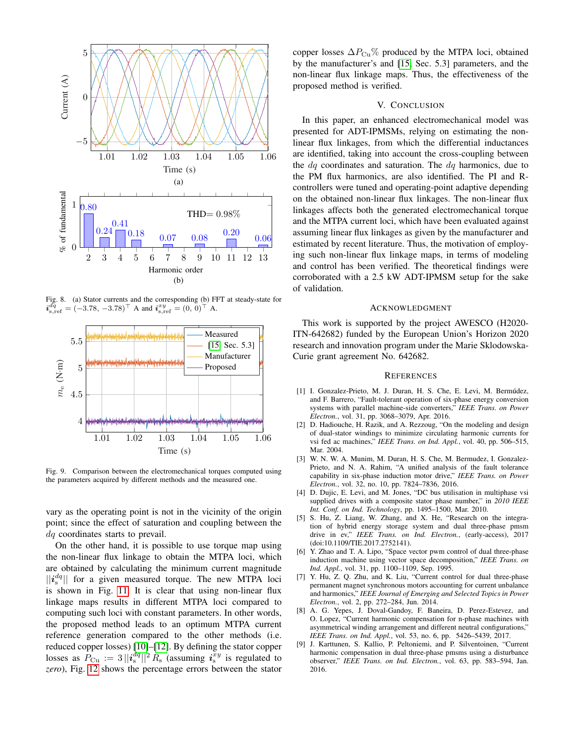

Fig. 8. (a) Stator currents and the corresponding (b) FFT at steady-state for  $\boldsymbol{i}^{\bar{dq}}_{\text{s,ref}} = (-3.78, -3.78)^\top \text{ A} \text{ and } \boldsymbol{i}^{\bar{x}y}_{\text{s,ref}} = (0, 0)^\top \text{ A}.$ 



Fig. 9. Comparison between the electromechanical torques computed using the parameters acquired by different methods and the measured one.

vary as the operating point is not in the vicinity of the origin point; since the effect of saturation and coupling between the dq coordinates starts to prevail.

On the other hand, it is possible to use torque map using the non-linear flux linkage to obtain the MTPA loci, which are obtained by calculating the minimum current magnitude  $||\mathbf{i}_{s}^{dq}||$  for a given measured torque. The new MTPA loci is shown in Fig. 11. It is clear that using non-linear flux linkage maps results in different MTPA loci compared to computing such loci with constant parameters. In other words, the proposed method leads to an optimum MTPA current reference generation compared to the other methods (i.e. reduced copper losses) [10]–[12]. By defining the stator copper losses as  $P_{\text{Cu}} := 3 ||\mathbf{i}_{\text{s}}^{dq}||^2 R_{\text{s}}$  (assuming  $\mathbf{i}_{\text{s}}^{xy}$  is regulated to *zero*), Fig. 12 shows the percentage errors between the stator copper losses  $\Delta P_{\text{Cu}}\%$  produced by the MTPA loci, obtained by the manufacturer's and [15, Sec. 5.3] parameters, and the non-linear flux linkage maps. Thus, the effectiveness of the proposed method is verified.

## V. CONCLUSION

In this paper, an enhanced electromechanical model was presented for ADT-IPMSMs, relying on estimating the nonlinear flux linkages, from which the differential inductances are identified, taking into account the cross-coupling between the  $dq$  coordinates and saturation. The  $dq$  harmonics, due to the PM flux harmonics, are also identified. The PI and Rcontrollers were tuned and operating-point adaptive depending on the obtained non-linear flux linkages. The non-linear flux linkages affects both the generated electromechanical torque and the MTPA current loci, which have been evaluated against assuming linear flux linkages as given by the manufacturer and estimated by recent literature. Thus, the motivation of employing such non-linear flux linkage maps, in terms of modeling and control has been verified. The theoretical findings were corroborated with a 2.5 kW ADT-IPMSM setup for the sake of validation.

#### ACKNOWLEDGMENT

This work is supported by the project AWESCO (H2020- ITN-642682) funded by the European Union's Horizon 2020 research and innovation program under the Marie Sklodowska-Curie grant agreement No. 642682.

## **REFERENCES**

- [1] I. Gonzalez-Prieto, M. J. Duran, H. S. Che, E. Levi, M. Bermúdez, and F. Barrero, "Fault-tolerant operation of six-phase energy conversion systems with parallel machine-side converters," *IEEE Trans. on Power Electron.*, vol. 31, pp. 3068–3079, Apr. 2016.
- [2] D. Hadiouche, H. Razik, and A. Rezzoug, "On the modeling and design of dual-stator windings to minimize circulating harmonic currents for vsi fed ac machines," *IEEE Trans. on Ind. Appl.*, vol. 40, pp. 506–515, Mar. 2004.
- [3] W. N. W. A. Munim, M. Duran, H. S. Che, M. Bermudez, I. Gonzalez-Prieto, and N. A. Rahim, "A unified analysis of the fault tolerance capability in six-phase induction motor drive," *IEEE Trans. on Power Electron.*, vol. 32, no. 10, pp. 7824–7836, 2016.
- [4] D. Dujic, E. Levi, and M. Jones, "DC bus utilisation in multiphase vsi supplied drives with a composite stator phase number," in *2010 IEEE Int. Conf. on Ind. Technology*, pp. 1495–1500, Mar. 2010.
- [5] S. Hu, Z. Liang, W. Zhang, and X. He, "Research on the integration of hybrid energy storage system and dual three-phase pmsm drive in ev," *IEEE Trans. on Ind. Electron.*, (early-access), 2017 (doi:10.1109/TIE.2017.2752141).
- [6] Y. Zhao and T. A. Lipo, "Space vector pwm control of dual three-phase induction machine using vector space decomposition," *IEEE Trans. on Ind. Appl.*, vol. 31, pp. 1100–1109, Sep. 1995.
- [7] Y. Hu, Z. Q. Zhu, and K. Liu, "Current control for dual three-phase permanent magnet synchronous motors accounting for current unbalance and harmonics," *IEEE Journal of Emerging and Selected Topics in Power Electron.*, vol. 2, pp. 272–284, Jun. 2014.
- [8] A. G. Yepes, J. Doval-Gandoy, F. Baneira, D. Perez-Estevez, and O. Lopez, "Current harmonic compensation for n-phase machines with asymmetrical winding arrangement and different neutral configurations," *IEEE Trans. on Ind. Appl.*, vol. 53, no. 6, pp. 5426–5439, 2017.
- [9] J. Karttunen, S. Kallio, P. Peltoniemi, and P. Silventoinen, "Current harmonic compensation in dual three-phase pmsms using a disturbance observer," *IEEE Trans. on Ind. Electron.*, vol. 63, pp. 583–594, Jan. 2016.